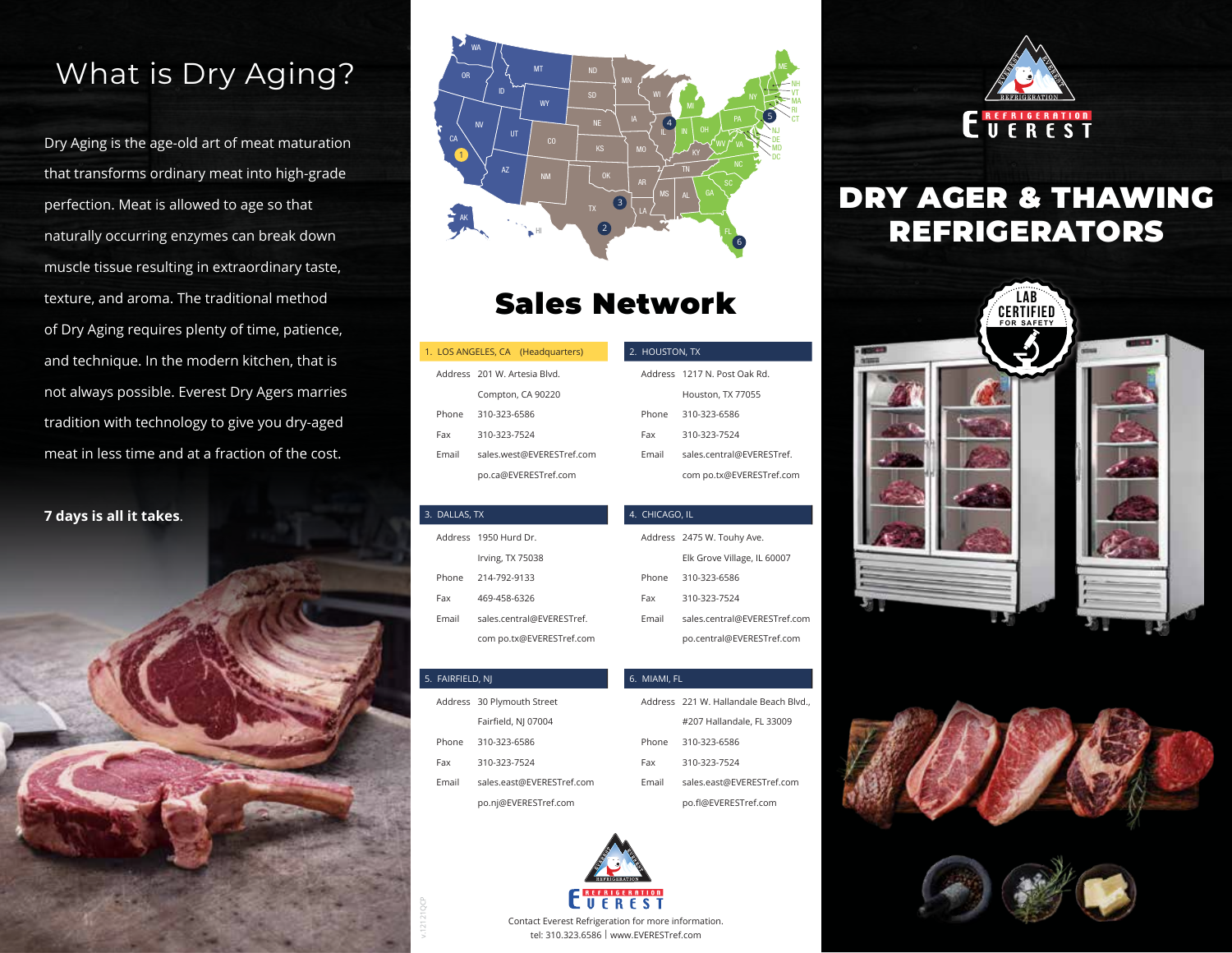## What is Dry Aging?

Dry Aging is the age-old art of meat maturation that transforms ordinary meat into high-grade perfection. Meat is allowed to age so that naturally occurring enzymes can break down muscle tissue resulting in extraordinary taste, texture, and aroma. The traditional method of Dry Aging requires plenty of time, patience, and technique. In the modern kitchen, that is not always possible. Everest Dry Agers marries tradition with technology to give you dry-aged meat in less time and at a fraction of the cost.

#### **7 days is all it takes**.





## Sales Network

|       | 1. LOS ANGELES, CA (Headquarters) |
|-------|-----------------------------------|
|       | Address 201 W. Artesia Blvd.      |
|       | Compton, CA 90220                 |
| Phone | 310-323-6586                      |
| Fax   | 310-323-7524                      |
| Fmail | sales.west@EVERESTref.com         |
|       | po.ca@EVERESTref.com              |

AK

| 3. DALLAS, TX |                           |  |
|---------------|---------------------------|--|
|               | Address 1950 Hurd Dr.     |  |
|               | Irving, TX 75038          |  |
| Phone         | 214-792-9133              |  |
| Fax           | 469-458-6326              |  |
| Fmail         | sales.central@EVERESTref. |  |
|               | com po.tx@EVERESTref.com  |  |

#### 2. HOUSTON, TX Address 1217 N. Post Oak Rd. Houston, TX 77055 310-323-6586 310-323-7524 sales.central@EVERESTref. com po.tx@EVERESTref.com Phone Fax Email

| 4.  CHICAGO, IL |       |                              |  |
|-----------------|-------|------------------------------|--|
|                 |       | Address 2475 W. Touhy Ave.   |  |
|                 |       | Elk Grove Village, IL 60007  |  |
|                 | Phone | 310-323-6586                 |  |
|                 | Fax   | 310-323-7524                 |  |
|                 | Fmail | sales.central@EVERESTref.com |  |
|                 |       | po.central@EVERESTref.com    |  |

Address 221 W. Hallandale Beach Blvd., #207 Hallandale, FL 33009

> sales.east@EVERESTref.com po.f@EVERESTref.com

310-323-6586 310-323-7524

# **ENERIGERATION**

## DRY AGER & THAWING REFRIGERATORS







#### 5. FAIRFIELD, NJ

v.12121QCP

- Address 30 Plymouth Street Fairfeld, NJ 07004 310-323-6586 310-323-7524 sales.east@EVERESTref.com Phone Fax Email
	- po.nj@EVERESTref.com



6. MIAMI, FL

Phone Fax Email

Contact Everest Refrigeration for more information. tel: 310.323.6586 | www.EVERESTref.com